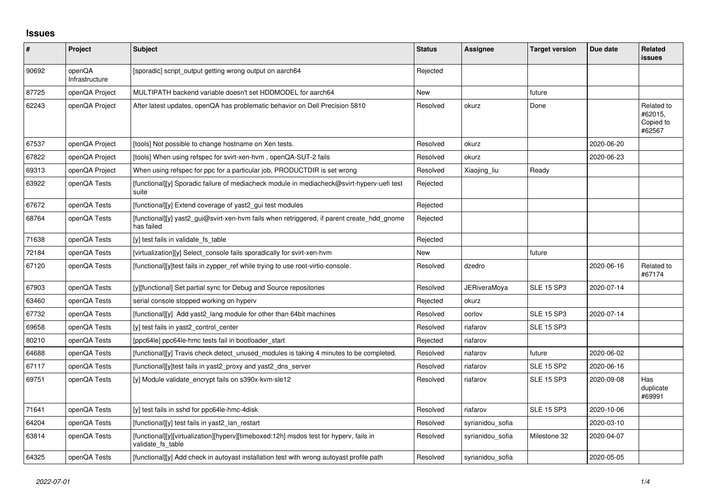## **Issues**

| $\pmb{\#}$ | Project                  | <b>Subject</b>                                                                                              | <b>Status</b> | <b>Assignee</b>  | <b>Target version</b> | Due date   | Related<br><b>issues</b>                     |
|------------|--------------------------|-------------------------------------------------------------------------------------------------------------|---------------|------------------|-----------------------|------------|----------------------------------------------|
| 90692      | openQA<br>Infrastructure | [sporadic] script_output getting wrong output on aarch64                                                    | Rejected      |                  |                       |            |                                              |
| 87725      | openQA Project           | MULTIPATH backend variable doesn't set HDDMODEL for aarch64                                                 | New           |                  | future                |            |                                              |
| 62243      | openQA Project           | After latest updates, openQA has problematic behavior on Dell Precision 5810                                | Resolved      | okurz            | Done                  |            | Related to<br>#62015,<br>Copied to<br>#62567 |
| 67537      | openQA Project           | [tools] Not possible to change hostname on Xen tests.                                                       | Resolved      | okurz            |                       | 2020-06-20 |                                              |
| 67822      | openQA Project           | [tools] When using refspec for svirt-xen-hvm, openQA-SUT-2 fails                                            | Resolved      | okurz            |                       | 2020-06-23 |                                              |
| 69313      | openQA Project           | When using refspec for ppc for a particular job, PRODUCTDIR is set wrong                                    | Resolved      | Xiaojing_liu     | Ready                 |            |                                              |
| 63922      | openQA Tests             | [functional][y] Sporadic failure of mediacheck module in mediacheck@svirt-hyperv-uefi test<br>suite         | Rejected      |                  |                       |            |                                              |
| 67672      | openQA Tests             | [functional][y] Extend coverage of yast2 gui test modules                                                   | Rejected      |                  |                       |            |                                              |
| 68764      | openQA Tests             | [functional][y] yast2_gui@svirt-xen-hvm fails when retriggered, if parent create_hdd_gnome<br>has failed    | Rejected      |                  |                       |            |                                              |
| 71638      | openQA Tests             | [y] test fails in validate fs_table                                                                         | Rejected      |                  |                       |            |                                              |
| 72184      | openQA Tests             | [virtualization][y] Select console fails sporadically for svirt-xen-hym                                     | New           |                  | future                |            |                                              |
| 67120      | openQA Tests             | [functional][y]test fails in zypper ref while trying to use root-virtio-console.                            | Resolved      | dzedro           |                       | 2020-06-16 | Related to<br>#67174                         |
| 67903      | openQA Tests             | [y][functional] Set partial sync for Debug and Source repositories                                          | Resolved      | JERiveraMoya     | <b>SLE 15 SP3</b>     | 2020-07-14 |                                              |
| 63460      | openQA Tests             | serial console stopped working on hyperv                                                                    | Rejected      | okurz            |                       |            |                                              |
| 67732      | openQA Tests             | [functional][y] Add yast2_lang module for other than 64bit machines                                         | Resolved      | oorlov           | <b>SLE 15 SP3</b>     | 2020-07-14 |                                              |
| 69658      | openQA Tests             | [y] test fails in yast2 control center                                                                      | Resolved      | riafarov         | <b>SLE 15 SP3</b>     |            |                                              |
| 80210      | openQA Tests             | [ppc64le] ppc64le-hmc tests fail in bootloader start                                                        | Rejected      | riafarov         |                       |            |                                              |
| 64688      | openQA Tests             | [functional][y] Travis check detect_unused_modules is taking 4 minutes to be completed.                     | Resolved      | riafarov         | future                | 2020-06-02 |                                              |
| 67117      | openQA Tests             | [functional][y]test fails in yast2_proxy and yast2_dns_server                                               | Resolved      | riafarov         | <b>SLE 15 SP2</b>     | 2020-06-16 |                                              |
| 69751      | openQA Tests             | [y] Module validate_encrypt fails on s390x-kvm-sle12                                                        | Resolved      | riafarov         | <b>SLE 15 SP3</b>     | 2020-09-08 | Has<br>duplicate<br>#69991                   |
| 71641      | openQA Tests             | [y] test fails in sshd for ppc64le-hmc-4disk                                                                | Resolved      | riafarov         | <b>SLE 15 SP3</b>     | 2020-10-06 |                                              |
| 64204      | openQA Tests             | [functional][y] test fails in yast2_lan_restart                                                             | Resolved      | syrianidou_sofia |                       | 2020-03-10 |                                              |
| 63814      | openQA Tests             | [functional][y][virtualization][hyperv][timeboxed:12h] msdos test for hyperv, fails in<br>validate_fs_table | Resolved      | syrianidou sofia | Milestone 32          | 2020-04-07 |                                              |
| 64325      | openQA Tests             | [functional][y] Add check in autoyast installation test with wrong autoyast profile path                    | Resolved      | syrianidou sofia |                       | 2020-05-05 |                                              |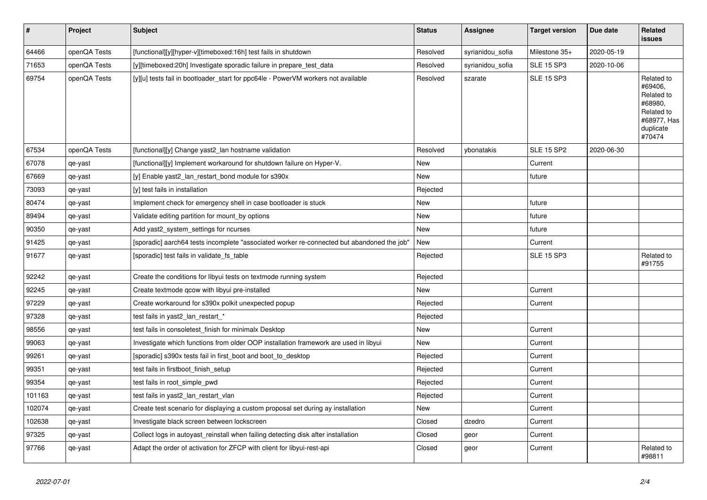| $\vert$ # | Project      | <b>Subject</b>                                                                             | <b>Status</b> | <b>Assignee</b>  | <b>Target version</b> | Due date   | <b>Related</b><br><b>issues</b>                                                                    |
|-----------|--------------|--------------------------------------------------------------------------------------------|---------------|------------------|-----------------------|------------|----------------------------------------------------------------------------------------------------|
| 64466     | openQA Tests | [functional][y][hyper-v][timeboxed:16h] test fails in shutdown                             | Resolved      | syrianidou_sofia | Milestone 35+         | 2020-05-19 |                                                                                                    |
| 71653     | openQA Tests | [y][timeboxed:20h] Investigate sporadic failure in prepare_test_data                       | Resolved      | syrianidou_sofia | <b>SLE 15 SP3</b>     | 2020-10-06 |                                                                                                    |
| 69754     | openQA Tests | [y][u] tests fail in bootloader_start for ppc64le - PowerVM workers not available          | Resolved      | szarate          | <b>SLE 15 SP3</b>     |            | Related to<br>#69406,<br>Related to<br>#68980,<br>Related to<br>#68977, Has<br>duplicate<br>#70474 |
| 67534     | openQA Tests | [functional][y] Change yast2_lan hostname validation                                       | Resolved      | ybonatakis       | <b>SLE 15 SP2</b>     | 2020-06-30 |                                                                                                    |
| 67078     | qe-yast      | [functional][y] Implement workaround for shutdown failure on Hyper-V.                      | <b>New</b>    |                  | Current               |            |                                                                                                    |
| 67669     | qe-yast      | [y] Enable yast2 lan restart bond module for s390x                                         | New           |                  | future                |            |                                                                                                    |
| 73093     | qe-yast      | [y] test fails in installation                                                             | Rejected      |                  |                       |            |                                                                                                    |
| 80474     | qe-yast      | Implement check for emergency shell in case bootloader is stuck                            | New           |                  | future                |            |                                                                                                    |
| 89494     | qe-yast      | Validate editing partition for mount_by options                                            | New           |                  | future                |            |                                                                                                    |
| 90350     | qe-yast      | Add yast2_system_settings for ncurses                                                      | New           |                  | future                |            |                                                                                                    |
| 91425     | qe-yast      | [sporadic] aarch64 tests incomplete "associated worker re-connected but abandoned the job" | <b>New</b>    |                  | Current               |            |                                                                                                    |
| 91677     | qe-yast      | [sporadic] test fails in validate fs table                                                 | Rejected      |                  | <b>SLE 15 SP3</b>     |            | Related to<br>#91755                                                                               |
| 92242     | qe-yast      | Create the conditions for libyui tests on textmode running system                          | Rejected      |                  |                       |            |                                                                                                    |
| 92245     | qe-yast      | Create textmode qcow with libyui pre-installed                                             | New           |                  | Current               |            |                                                                                                    |
| 97229     | qe-yast      | Create workaround for s390x polkit unexpected popup                                        | Rejected      |                  | Current               |            |                                                                                                    |
| 97328     | qe-yast      | test fails in yast2_lan_restart_*                                                          | Rejected      |                  |                       |            |                                                                                                    |
| 98556     | qe-yast      | test fails in consoletest finish for minimalx Desktop                                      | <b>New</b>    |                  | Current               |            |                                                                                                    |
| 99063     | qe-yast      | Investigate which functions from older OOP installation framework are used in libyui       | New           |                  | Current               |            |                                                                                                    |
| 99261     | qe-yast      | [sporadic] s390x tests fail in first boot and boot to desktop                              | Rejected      |                  | Current               |            |                                                                                                    |
| 99351     | qe-yast      | test fails in firstboot finish setup                                                       | Rejected      |                  | Current               |            |                                                                                                    |
| 99354     | qe-yast      | test fails in root_simple_pwd                                                              | Rejected      |                  | Current               |            |                                                                                                    |
| 101163    | qe-yast      | test fails in yast2_lan_restart_vlan                                                       | Rejected      |                  | Current               |            |                                                                                                    |
| 102074    | qe-yast      | Create test scenario for displaying a custom proposal set during ay installation           | New           |                  | Current               |            |                                                                                                    |
| 102638    | qe-yast      | Investigate black screen between lockscreen                                                | Closed        | dzedro           | Current               |            |                                                                                                    |
| 97325     | qe-yast      | Collect logs in autoyast_reinstall when failing detecting disk after installation          | Closed        | geor             | Current               |            |                                                                                                    |
| 97766     | qe-yast      | Adapt the order of activation for ZFCP with client for libyui-rest-api                     | Closed        | geor             | Current               |            | Related to<br>#98811                                                                               |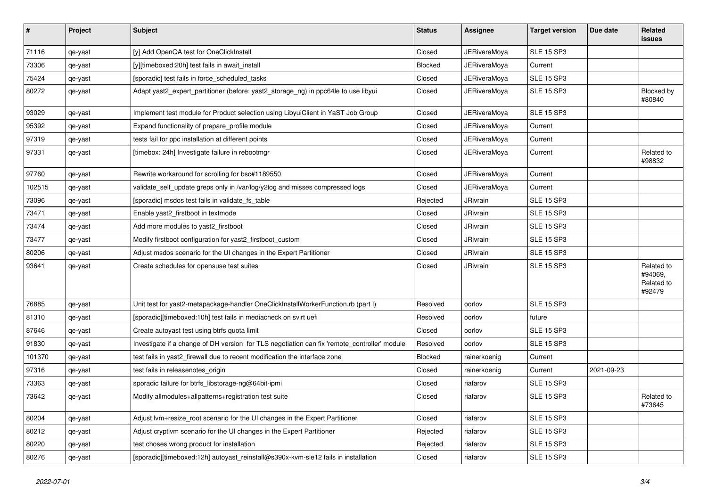| $\vert$ # | Project | <b>Subject</b>                                                                               | <b>Status</b> | Assignee            | <b>Target version</b> | Due date   | Related<br><b>issues</b>                      |
|-----------|---------|----------------------------------------------------------------------------------------------|---------------|---------------------|-----------------------|------------|-----------------------------------------------|
| 71116     | qe-yast | [y] Add OpenQA test for OneClickInstall                                                      | Closed        | JERiveraMoya        | <b>SLE 15 SP3</b>     |            |                                               |
| 73306     | qe-yast | [y][timeboxed:20h] test fails in await install                                               | Blocked       | <b>JERiveraMoya</b> | Current               |            |                                               |
| 75424     | qe-yast | [sporadic] test fails in force_scheduled_tasks                                               | Closed        | <b>JERiveraMoya</b> | <b>SLE 15 SP3</b>     |            |                                               |
| 80272     | qe-yast | Adapt yast2_expert_partitioner (before: yast2_storage_ng) in ppc64le to use libyui           | Closed        | <b>JERiveraMoya</b> | <b>SLE 15 SP3</b>     |            | Blocked by<br>#80840                          |
| 93029     | qe-yast | Implement test module for Product selection using LibyuiClient in YaST Job Group             | Closed        | JERiveraMoya        | <b>SLE 15 SP3</b>     |            |                                               |
| 95392     | qe-yast | Expand functionality of prepare profile module                                               | Closed        | <b>JERiveraMoya</b> | Current               |            |                                               |
| 97319     | qe-yast | tests fail for ppc installation at different points                                          | Closed        | JERiveraMoya        | Current               |            |                                               |
| 97331     | qe-yast | [timebox: 24h] Investigate failure in rebootmgr                                              | Closed        | <b>JERiveraMoya</b> | Current               |            | Related to<br>#98832                          |
| 97760     | qe-yast | Rewrite workaround for scrolling for bsc#1189550                                             | Closed        | <b>JERiveraMoya</b> | Current               |            |                                               |
| 102515    | qe-yast | validate_self_update greps only in /var/log/y2log and misses compressed logs                 | Closed        | <b>JERiveraMoya</b> | Current               |            |                                               |
| 73096     | qe-yast | [sporadic] msdos test fails in validate fs table                                             | Rejected      | JRivrain            | <b>SLE 15 SP3</b>     |            |                                               |
| 73471     | qe-yast | Enable yast2_firstboot in textmode                                                           | Closed        | JRivrain            | <b>SLE 15 SP3</b>     |            |                                               |
| 73474     | qe-yast | Add more modules to yast2_firstboot                                                          | Closed        | JRivrain            | <b>SLE 15 SP3</b>     |            |                                               |
| 73477     | qe-yast | Modify firstboot configuration for yast2_firstboot_custom                                    | Closed        | JRivrain            | <b>SLE 15 SP3</b>     |            |                                               |
| 80206     | qe-yast | Adjust msdos scenario for the UI changes in the Expert Partitioner                           | Closed        | JRivrain            | <b>SLE 15 SP3</b>     |            |                                               |
| 93641     | qe-yast | Create schedules for opensuse test suites                                                    | Closed        | JRivrain            | <b>SLE 15 SP3</b>     |            | Related to<br>#94069,<br>Related to<br>#92479 |
| 76885     | qe-yast | Unit test for yast2-metapackage-handler OneClickInstallWorkerFunction.rb (part I)            | Resolved      | oorlov              | <b>SLE 15 SP3</b>     |            |                                               |
| 81310     | qe-yast | [sporadic][timeboxed:10h] test fails in mediacheck on svirt uefi                             | Resolved      | oorlov              | future                |            |                                               |
| 87646     | qe-yast | Create autoyast test using btrfs quota limit                                                 | Closed        | oorlov              | <b>SLE 15 SP3</b>     |            |                                               |
| 91830     | qe-yast | Investigate if a change of DH version for TLS negotiation can fix 'remote_controller' module | Resolved      | oorlov              | <b>SLE 15 SP3</b>     |            |                                               |
| 101370    | qe-yast | test fails in yast2 firewall due to recent modification the interface zone                   | Blocked       | rainerkoenig        | Current               |            |                                               |
| 97316     | qe-yast | test fails in releasenotes_origin                                                            | Closed        | rainerkoenig        | Current               | 2021-09-23 |                                               |
| 73363     | qe-yast | sporadic failure for btrfs_libstorage-ng@64bit-ipmi                                          | Closed        | riafarov            | <b>SLE 15 SP3</b>     |            |                                               |
| 73642     | qe-yast | Modify allmodules+allpatterns+registration test suite                                        | Closed        | riafarov            | <b>SLE 15 SP3</b>     |            | Related to<br>#73645                          |
| 80204     | qe-yast | Adjust Ivm+resize root scenario for the UI changes in the Expert Partitioner                 | Closed        | riafarov            | <b>SLE 15 SP3</b>     |            |                                               |
| 80212     | qe-yast | Adjust cryptlym scenario for the UI changes in the Expert Partitioner                        | Rejected      | riafarov            | <b>SLE 15 SP3</b>     |            |                                               |
| 80220     | qe-yast | test choses wrong product for installation                                                   | Rejected      | riafarov            | <b>SLE 15 SP3</b>     |            |                                               |
| 80276     | qe-yast | [sporadic][timeboxed:12h] autoyast_reinstall@s390x-kvm-sle12 fails in installation           | Closed        | riafarov            | <b>SLE 15 SP3</b>     |            |                                               |